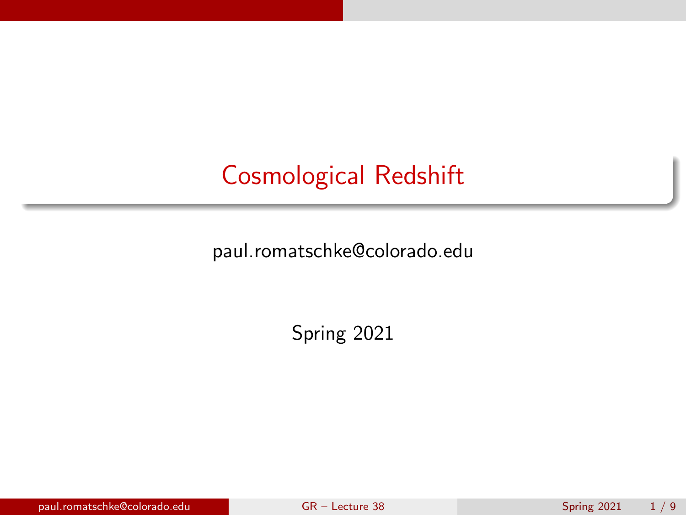# <span id="page-0-0"></span>Cosmological Redshift

paul.romatschke@colorado.edu

Spring 2021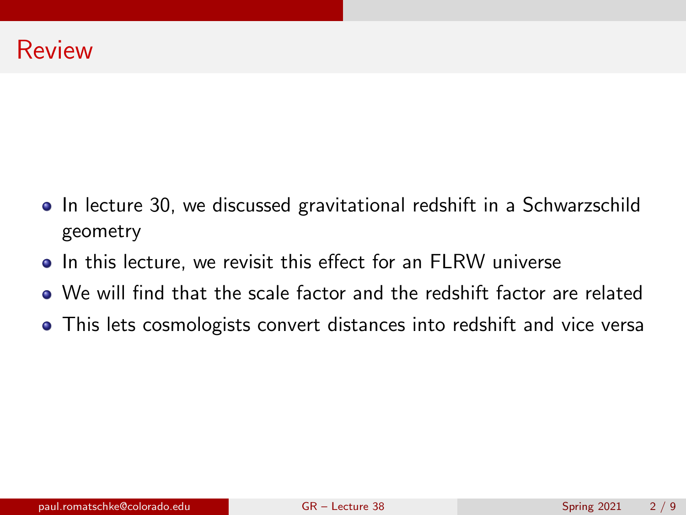- In lecture 30, we discussed gravitational redshift in a Schwarzschild geometry
- In this lecture, we revisit this effect for an FLRW universe
- We will find that the scale factor and the redshift factor are related
- This lets cosmologists convert distances into redshift and vice versa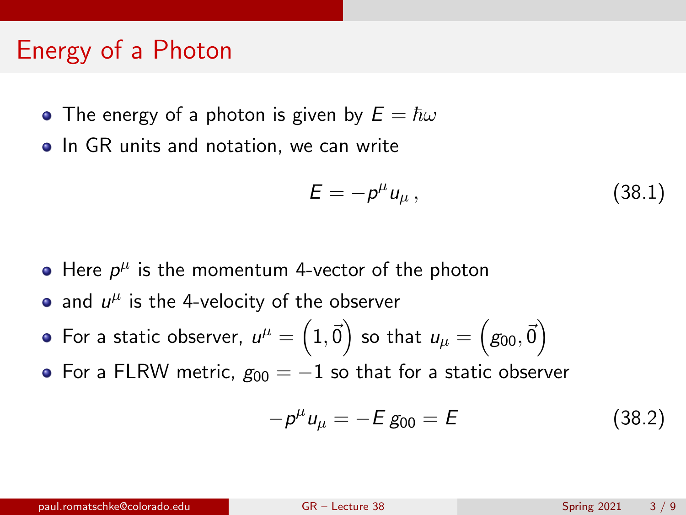#### Energy of a Photon

- The energy of a photon is given by  $E = \hbar \omega$
- In GR units and notation, we can write

$$
E = -p^{\mu} u_{\mu} , \qquad (38.1)
$$

- Here  $p^{\mu}$  is the momentum 4-vector of the photon
- and  $u^{\mu}$  is the 4-velocity of the observer
- For a static observer,  $\mathbf{u}^{\mu}=\left(1,\vec{0}\right)$  so that  $\mathbf{u}_{\mu}=\left(\mathbf{\mathit{g}}_{00},\vec{0}\right)$
- For a FLRW metric,  $g_{00} = -1$  so that for a static observer

$$
-p^{\mu}u_{\mu} = -E g_{00} = E \tag{38.2}
$$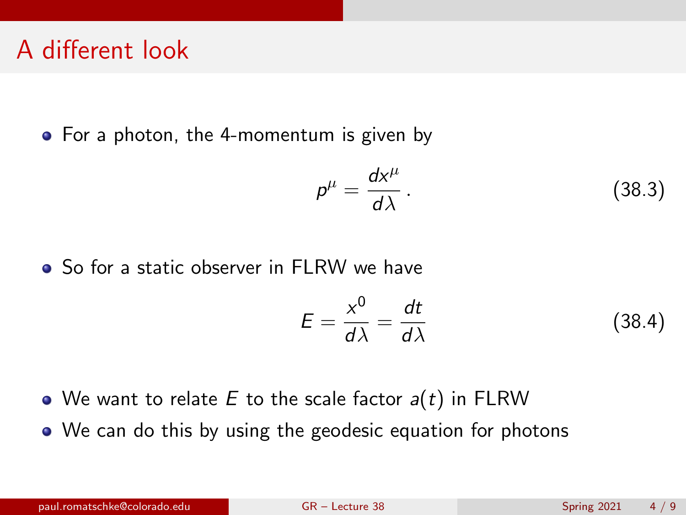### A different look

• For a photon, the 4-momentum is given by

$$
\rho^{\mu} = \frac{dx^{\mu}}{d\lambda}.
$$
 (38.3)

So for a static observer in FLRW we have

$$
E = \frac{x^0}{d\lambda} = \frac{dt}{d\lambda} \tag{38.4}
$$

- We want to relate E to the scale factor  $a(t)$  in FLRW
- We can do this by using the geodesic equation for photons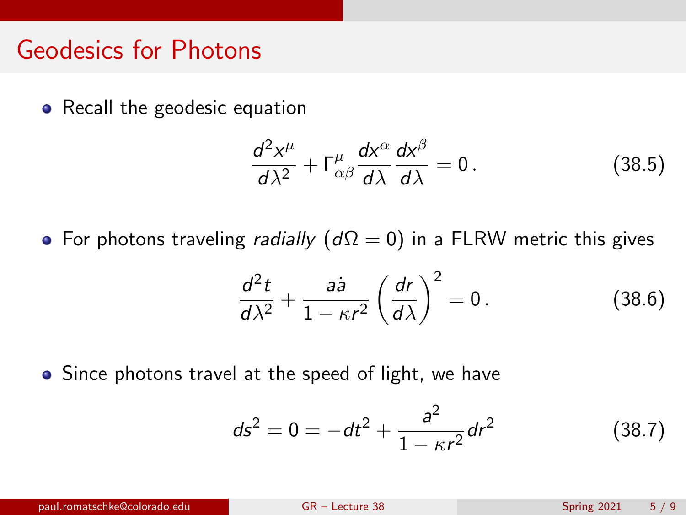#### Geodesics for Photons

• Recall the geodesic equation

$$
\frac{d^2x^{\mu}}{d\lambda^2} + \Gamma^{\mu}_{\alpha\beta}\frac{dx^{\alpha}}{d\lambda}\frac{dx^{\beta}}{d\lambda} = 0.
$$
 (38.5)

• For photons traveling *radially*  $(d\Omega = 0)$  in a FLRW metric this gives

$$
\frac{d^2t}{d\lambda^2} + \frac{a\dot{a}}{1 - \kappa r^2} \left(\frac{dr}{d\lambda}\right)^2 = 0.
$$
 (38.6)

• Since photons travel at the speed of light, we have

$$
ds^2 = 0 = -dt^2 + \frac{a^2}{1 - \kappa r^2} dr^2
$$
 (38.7)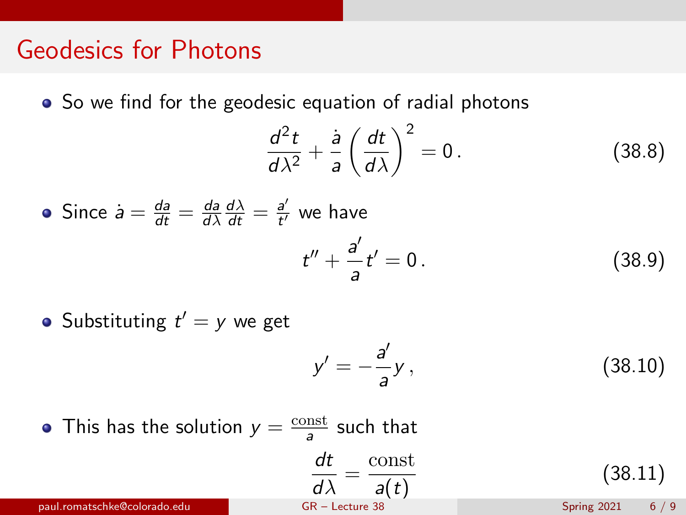#### Geodesics for Photons

• So we find for the geodesic equation of radial photons

$$
\frac{d^2t}{d\lambda^2} + \frac{\dot{a}}{a} \left(\frac{dt}{d\lambda}\right)^2 = 0.
$$
 (38.8)

• Since 
$$
\dot{a} = \frac{da}{dt} = \frac{da}{d\lambda} \frac{d\lambda}{dt} = \frac{a'}{t'}
$$
 we have  

$$
t'' + \frac{a'}{a}t' = 0.
$$
 (38.9)

Substituting  $t' = y$  we get

$$
y' = -\frac{a'}{a}y,\tag{38.10}
$$

This has the solution  $y = \frac{\text{const}}{2}$  $\frac{\text{nst}}{a}$  such that

$$
\frac{dt}{d\lambda} = \frac{\text{const}}{a(t)} \tag{38.11}
$$

paul.romatschke@colorado.edu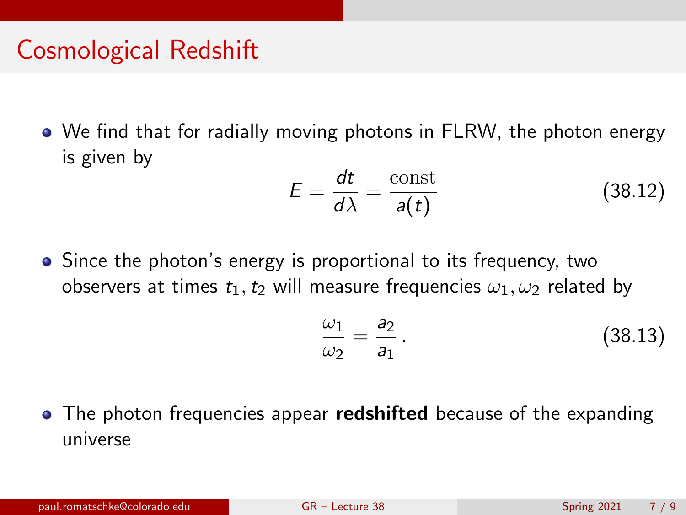## Cosmological Redshift

We find that for radially moving photons in FLRW, the photon energy is given by

$$
E = \frac{dt}{d\lambda} = \frac{\text{const}}{a(t)}
$$
 (38.12)

• Since the photon's energy is proportional to its frequency, two observers at times  $t_1, t_2$  will measure frequencies  $\omega_1, \omega_2$  related by

$$
\frac{\omega_1}{\omega_2} = \frac{a_2}{a_1} \,. \tag{38.13}
$$

• The photon frequencies appear **redshifted** because of the expanding universe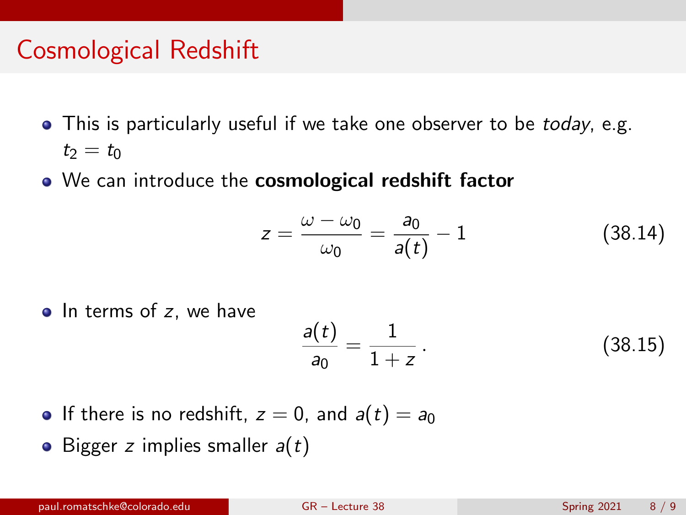## Cosmological Redshift

- This is particularly useful if we take one observer to be today, e.g.  $t_2 = t_0$
- We can introduce the **cosmological redshift factor**

$$
z = \frac{\omega - \omega_0}{\omega_0} = \frac{a_0}{a(t)} - 1 \tag{38.14}
$$

 $\bullet$  In terms of z, we have

$$
\frac{a(t)}{a_0} = \frac{1}{1+z} \,. \tag{38.15}
$$

- If there is no redshift,  $z = 0$ , and  $a(t) = a_0$
- Bigger z implies smaller  $a(t)$